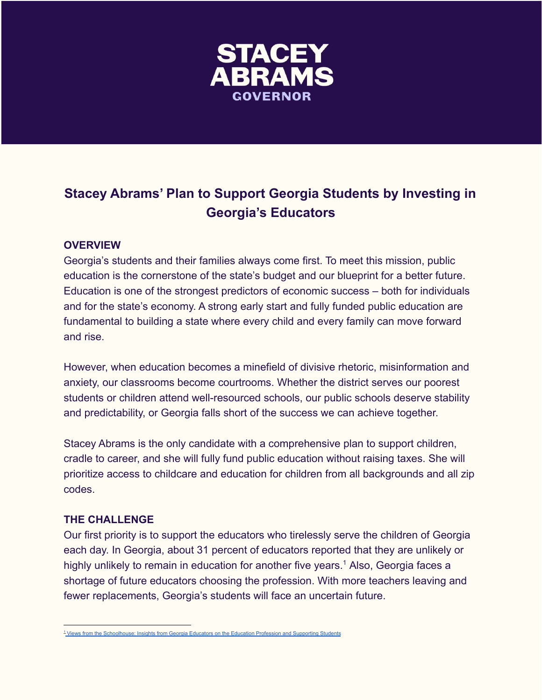

## **Stacey Abrams' Plan to Support Georgia Students by Investing in Georgia's Educators**

## **OVERVIEW**

Georgia's students and their families always come first. To meet this mission, public education is the cornerstone of the state's budget and our blueprint for a better future. Education is one of the strongest predictors of economic success – both for individuals and for the state's economy. A strong early start and fully funded public education are fundamental to building a state where every child and every family can move forward and rise.

However, when education becomes a minefield of divisive rhetoric, misinformation and anxiety, our classrooms become courtrooms. Whether the district serves our poorest students or children attend well-resourced schools, our public schools deserve stability and predictability, or Georgia falls short of the success we can achieve together.

Stacey Abrams is the only candidate with a comprehensive plan to support children, cradle to career, and she will fully fund public education without raising taxes. She will prioritize access to childcare and education for children from all backgrounds and all zip codes.

## **THE CHALLENGE**

Our first priority is to support the educators who tirelessly serve the children of Georgia each day. In Georgia, about 31 percent of educators reported that they are unlikely or highly unlikely to remain in education for another five years.<sup>1</sup> Also, Georgia faces a shortage of future educators choosing the profession. With more teachers leaving and fewer replacements, Georgia's students will face an uncertain future.

<sup>1</sup> [Views from the Schoolhouse: Insights from Georgia Educators on the Education Profession and Supporting Students](https://www.pagelegislative.org/_files/ugd/bd220f_576fe65bf49e4e13abf4a623117f6cff.pdf)